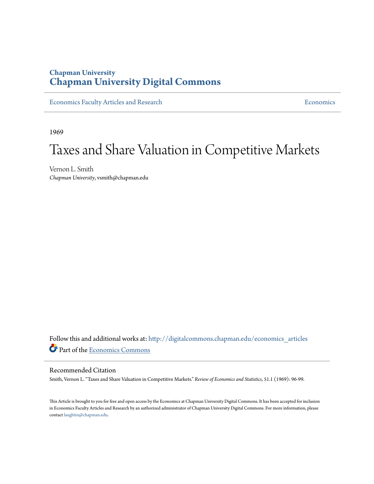# **Chapman University [Chapman University Digital Commons](http://digitalcommons.chapman.edu?utm_source=digitalcommons.chapman.edu%2Feconomics_articles%2F21&utm_medium=PDF&utm_campaign=PDFCoverPages)**

[Economics Faculty Articles and Research](http://digitalcommons.chapman.edu/economics_articles?utm_source=digitalcommons.chapman.edu%2Feconomics_articles%2F21&utm_medium=PDF&utm_campaign=PDFCoverPages) **[Economics](http://digitalcommons.chapman.edu/economics?utm_source=digitalcommons.chapman.edu%2Feconomics_articles%2F21&utm_medium=PDF&utm_campaign=PDFCoverPages)** Economics

1969

# Taxes and Share Valuation in Competitive Markets

Vernon L. Smith *Chapman University*, vsmith@chapman.edu

Follow this and additional works at: [http://digitalcommons.chapman.edu/economics\\_articles](http://digitalcommons.chapman.edu/economics_articles?utm_source=digitalcommons.chapman.edu%2Feconomics_articles%2F21&utm_medium=PDF&utm_campaign=PDFCoverPages) Part of the [Economics Commons](http://network.bepress.com/hgg/discipline/340?utm_source=digitalcommons.chapman.edu%2Feconomics_articles%2F21&utm_medium=PDF&utm_campaign=PDFCoverPages)

## Recommended Citation

Smith, Vernon L. "Taxes and Share Valuation in Competitive Markets." *Review of Economics and Statistics*, 51.1 (1969): 96-99.

This Article is brought to you for free and open access by the Economics at Chapman University Digital Commons. It has been accepted for inclusion in Economics Faculty Articles and Research by an authorized administrator of Chapman University Digital Commons. For more information, please contact [laughtin@chapman.edu](mailto:laughtin@chapman.edu).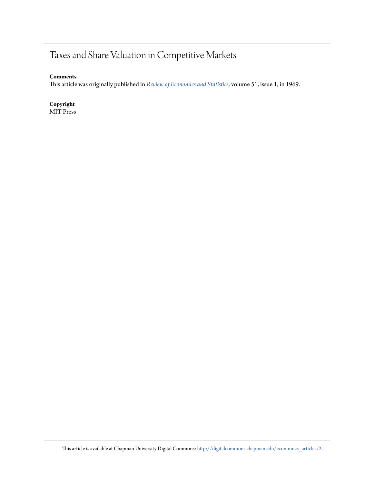# Taxes and Share Valuation in Competitive Markets

**Comments**

This article was originally published in *[Review of Economics and Statistics](http://www.mitpressjournals.org/loi/rest)*, volume 51, issue 1, in 1969.

**Copyright** MIT Press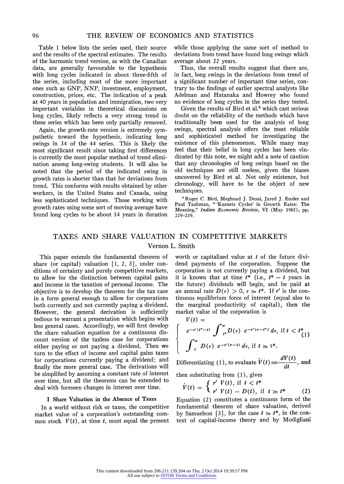**Table 1 below lists the series used, their source and the results of the spectral estimates. The results of the harmonic trend version, as with the Canadian data, are generally favourable to the hypothesis with long cycles indicated in about three-fifth of the series, including most of the more important ones such as GNP, NNP, investment, employment, construction, prices, etc. The indication of a peak at 40 years in population and immigration, two very important variables in theoretical discussions on long cycles, likely reflects a very strong trend in these series which has been only partially removed.** 

**Again, the growth-rate version is extremely sympathetic toward the hypothesis, indicating long swings in 34 of the 44 series. This is likely the most significant result since taking first differences is currently the most popular method of trend elimination among long-swing students. It will also be noted that the period of the indicated swing in growth rates is shorter than that for deviations from trend. This conforms with results obtained by other workers, in the United States and Canada, using less sophisticated techniques. Those working with growth rates using some sort of moving average have found long cycles to be about 14 years in duration**  **while those applying the same sort of method to deviations from trend have found long swings which average about 22 years.** 

**Thus, the overall results suggest that there are, in fact, long swings in the deviations from trend of a significant number of important time series, contrary to the findings of earlier spectral analysts like Adelman and Hatanaka and Howrey who found no evidence of long cycles in the series they tested.** 

**Given the results of Bird et al.8 which cast serious doubt on the reliability of the methods which have traditionally been used for the analysis of long swings, spectral analysis offers the most reliable and sophisticated method for investigating the existence of this phenomenon. While many may feel that their belief in long cycles has been vindicated by this note, we might add a note of caution that any chronologies of long swings based on the old techniques are still useless, given the biases uncovered by Bird et al. Not only existence, but chronology, will have to be the object of new techniques.** 

**8 Roger C. Bird, Meghnad J. Desai, Jared J. Enzler and Paul Taubman, "'Kuznets Cycles' in Growth Rates: The Meaning," Indian Economic Review, VI (May 1965), pp. 229-239.** 

# **TAXES AND SHARE VALUATION IN COMPETITIVE MARKETS Vernon L. Smith**

**This paper extends the fundamental theorem of share (or capital) valuation [1, 2, 3], under conditions of certainty and purely competitive markets, to allow for the distinction between capital gains and income in the taxation of personal income. The objective is to develop the theorem for the tax case in a form general enough to allow for corporations both currently and not currently paying a dividend. However, the general derivation is sufficiently tedious to warrant a presentation which begins with less general cases. Accordingly, we will first develop the share valuation equation for a continuous discount version of the taxless case for corporations either paying or not paying a dividend. Then we turn to the effect of income and capital gains taxes for corporations currently paying a dividend; and finally the more general case. The derivations will be simplified by assuming a constant rate of interest over time, but all the theorems can be extended to deal with foreseen changes in interest over time.** 

#### **I Share Valuation in the Absence of Taxes**

**In a world without risk or taxes, the competitive market value of a corporation's outstanding com**mon stock  $V(t)$ , at time  $t$ , must equal the present worth or capitalized value at t of the future divi**dend payments of the corporation. Suppose the corporation is not currently paying a dividend, but**  it is known that at time  $t^*$  (i.e.,  $t^* - t$  years in **the future) dividends will begin, and be paid at**  an annual rate  $D(\tau) > 0$ ,  $\tau \geq t^*$ . If  $r'$  is the con**tinuous equilibrium force of interest (equal also to the marginal productivity of capital), then the market value of the corporation is**   $V(f)$  =

$$
\begin{cases}\n\int_{t}^{\infty} e^{-r'(t^{*}-t)} \int_{t^{*}}^{\infty} D(\tau) e^{-r'(\tau-t^{*})} d\tau, & \text{if } t < t^{*} \\
\int_{t}^{\infty} D(\tau) e^{-r'(\tau-t)} d\tau, & \text{if } t \geq t^{*}.\n\end{cases}
$$

Differentiating (1), to evaluate  $\dot{V}(t) \equiv \frac{dV(t)}{dt}$ , and **then substituting from (1), gives** 

$$
\dot{V}(t) = \begin{cases} r' V(t), & \text{if } t < t^* \\ r' V(t) - D(t), & \text{if } t \geq t^* \end{cases}
$$
 (2)

**Equation (2) constitutes a continuous form of the fundamental theorem of share valuation, derived**  by Samuelson [3], for the case  $t \geq t^*$ , in the con**text of capital-income theory and by Modigliani**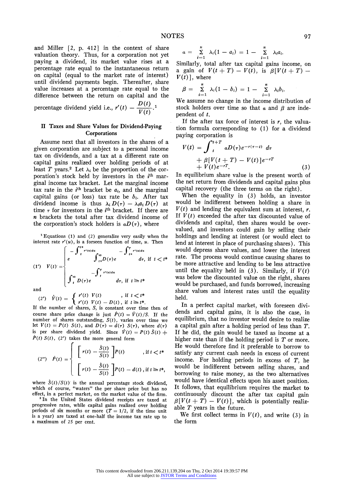**and Miller [2, p. 412] in the context of share valuation theory. Thus, for a corporation not yet paying a dividend, its market value rises at a percentage rate equal to the instantaneous return on capital (equal to the market rate of interest) until dividend payments begin. Thereafter, share value increases at a percentage rate equal to the difference between the return on capital and the** 

**percentage dividend yield i.e.,**  $r'(t) - \frac{\sum_{i} (t)}{V(t)}$ 

#### **II Taxes and Share Values for Dividend-Paying Corporations**

**Assume next that all investors in the shares of a given corporation are subject to a personal income tax on dividends, and a tax at a different rate on capital gains realized over holding periods of at**  least T years.<sup>2</sup> Let  $\lambda_i$  be the proportion of the corporation's stock held by investors in the *i*<sup>th</sup> mar**ginal income tax bracket. Let the marginal income**  tax rate in the  $i<sup>th</sup>$  bracket be  $a<sub>i</sub>$ , and the marginal capital gains (or loss) tax rate be  $b_i$ . After tax dividend income is thus  $\lambda_i D(\tau) - \lambda_i a_i D(\tau)$  at time  $\tau$  for investors in the  $i$ <sup>th</sup> bracket. If there are **n brackets the total after tax dividend income of**  the corporation's stock holders is  $aD(\tau)$ , where

**1 Equations (1) and (2) generalize very easily when the**  interest rate  $r'(u)$ , is a forseen function of time,  $u$ . Then

$$
(1') \quad V(t) = \begin{cases} -\int_{-t}^{t*} r'(\omega) d\omega & -\int_{-t*}^{T} r'(\omega) d\omega \\ e & \int_{-t*}^{\infty} D(\tau) e & d\tau, \text{ if } t < t* \\ \int_{-t}^{\infty} D(\tau) e & d\tau, \text{ if } t \geq t* \end{cases}
$$

**and** 

$$
(2') \quad \dot{V}(t) = \begin{cases} r'(t) & V(t) \\ r'(t) & V(t) - D(t) \end{cases}, \text{ if } t \leq t^*.
$$

**If the number of shares, S, is constant over time then of**  course share price change is just  $\dot{P}(t) = \dot{V}(t)/S$ . If the **number of shares outstanding, S(t), varies over time we**  let  $V(t) = P(t)$   $S(t)$ , and  $D(\tau) = d(\tau)$   $S(\tau)$ , where  $d(\tau)$ is per share dividend yield. Since  $\dot{V}(t) = P(t) \dot{S}(t) +$  $\dot{P}(t) S(t)$ , (2') takes the more general form

$$
(2'') \quad \dot{P}(t) = \begin{cases} \begin{array}{c} \left[ r(t) - \frac{\dot{S}(t)}{S(t)} \right] P(t) & , \text{if } t < t^* \\ \left[ r(t) - \frac{\dot{S}(t)}{S(t)} \right] P(t) - d(t) \,, \text{if } t \geq t^* , \end{array} \end{cases}
$$

where  $S(t)/S(t)$  is the annual percentage stock dividend, **which of course, "waters" the per share price but has no effect, in a perfect market, on the market value of the firm.** 

**<sup>2</sup>In the United States dividend receipts are taxed at progressive rates, while capital gains realized over holding**  periods of six months or more  $(T = 1/2)$ , if the time unit **is a year) are tazed at one-half the income tax rate up to a maximum of 25 per cent.** 

$$
a = \sum_{i=1}^n \lambda_i (1-a_i) = 1 - \sum_{i=1}^n \lambda_i a_i.
$$

**Similarly, total after tax capital gains income, on a** gain of  $V(t + T) - V(t)$ , is  $\beta[V(t + T) V(t)$ ], where

$$
\beta = \sum_{i=1}^n \lambda_i (1-b_i) = 1 - \sum_{i=1}^n \lambda_i b_i.
$$

**We assume no change in the income distribution of**  stock holders over time so that  $\alpha$  and  $\beta$  are inde**pendent of t.** 

**If the after tax force of interest is r, the valuation formula corresponding to (1) for a dividend paying corporation is** 

$$
V(t) = \int_{t}^{t+T} aD(\tau)e^{-r(\tau-t)} d\tau + \beta[V(t+T) - V(t)]e^{-rT} + V(t)e^{-rT}.
$$
 (3)

**In equilibrium share value is the present worth of the net return from dividends and capital gains plus capital recovery (the three terms on the right).** 

**When the equality in (3) holds, an investor would be indifferent between holding a share in**   $V(t)$  and lending the equivalent sum at interest,  $r$ . If  $V(t)$  exceeded the after tax discounted value of **dividends and capital, then shares would be overvalued, and investors could gain by selling their holdings and lending at interest (or would elect to lend at interest in place of purchasing shares). This would depress share values, and lower the interest rate. The process would continue causing shares to be more attractive and lending to be less attractive**  until the equality held in  $(3)$ . Similarly, if  $V(t)$ **was below the discounted value on the right, shares would be purchased, and funds borrowed, increasing share values and interest rates until the equality held.** 

**In a perfect capital market, with foreseen dividends and capital gains, it is also the case, in equilibrium, that no investor would desire to realize a capital gain after a holding period of less than T. If he did, the gain would be taxed as income at a higher rate than if the holding period is T or more. He would therefore find it preferable to borrow to satisfy any current cash needs in excess of current income. For holding periods in excess of T, he would be indifferent between selling shares, and borrowing to raise money, as the two alternatives would have identical effects upon his asset position. It follows, that equilibrium requires the market to continuously discount the after tax capital gain**   $\beta[V(t + T) - V(t)]$ , which is potentially realiz**able T years in the future.** 

We first collect terms in  $V(t)$ , and write (3) in **the form**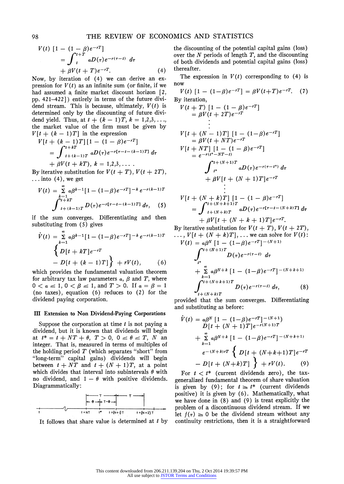$$
V(t) [1 - (1 - \beta)e^{-rT}]
$$
  
=  $\int_{t}^{t+T} aD(\tau)e^{-r(\tau - t)} d\tau$   
+  $\beta V(t + T)e^{-rT}$ . (4)

**Now, by iteration of (4) we can derive an ex**pression for  $V(t)$  as an infinite sum (or finite, if we **had assumed a finite market discount horizon [2, pp. 421-422]) entirely in terms of the future divi**dend stream. This is because, ultimately,  $V(t)$  is **determined only by the discounting of future divi**dend yield. Thus, at  $t + (k - 1)T$ ,  $k = 1,2,3,...$ **the market value of the firm must be given by**   $V[t + (k-1)T]$  in the expression

$$
V[t + (k-1)T][1 - (1 - \beta)e^{-rT}]
$$
  
=  $\int_{t+(k-1)T}^{t+kT} aD(\tau)e^{-r[\tau-t-(k-1)T]} d\tau$   
+  $\beta V(t + kT), k = 1,2,3,...$ 

By iterative substitution for  $V(t + T)$ ,  $V(t + 2T)$ , **... into (4), we get** 

$$
V(t) = \sum_{k=1}^{\infty} a\beta^{k-1} [1 - (1-\beta)e^{-rT}]^{-k} e^{-r(k-1)T}
$$

$$
\int_{t+(k-1)T}^{t+kT} D(\tau) e^{-r[\tau-t-(k-1)T]} d\tau, \quad (5)
$$

**if the sum converges. Differentiating and then substituting from (5) gives** 

$$
\dot{V}(t) = \sum_{k=1}^{\infty} a\beta^{k-1} [1 - (1-\beta)e^{-rT}]^{-k} e^{-r(k-1)T}
$$
  

$$
\left\{ D[t + kT]e^{-rT}
$$
  

$$
- D[t + (k-1)T] \right\} + rV(t),
$$
 (6)

**which provides the fundamental valuation theorem**  for arbitrary tax law parameters  $\alpha$ ,  $\beta$  and  $T$ , where  $0 < a \leq 1, 0 < \beta \leq 1$ , and  $T > 0$ . If  $a = \beta = 1$ **(no taxes), equation (6) reduces to (2) for the dividend paying corporation.** 

#### **III Extension to Non Dividend-Paying Corporations**

**Suppose the corporation at time t is not paying a dividend, but it is known that dividends will begin**  at  $t^* = t + NT + \theta$ ,  $T > 0$ ,  $0 \le \theta \le T$ , N an **integer. That is, measured in terms of multiples of the holding period T (which separates "short" from "long-term" capital gains) dividends will begin**  between  $t + NT$  and  $t + (N + 1)T$ , at a point which divides that interval into subintervals  $\theta$  with no dividend, and  $1 - \theta$  with positive dividends. **Diagrammatically:** 



**It follows that share value is determined at t by** 

**the discounting of the potential capital gains (loss) over the N periods of length T, and the discounting of both dividends and potential capital gains (loss) thereafter.** 

The expression in  $V(t)$  corresponding to  $(4)$  is **now** 

$$
V(t) \left[1 - (1 - \beta)e^{-rT}\right] = \beta V(t + T)e^{-rT}.
$$
 (7)

**By iteration,**   $V(t+T)$   $[1-(1-\beta)e^{-tT}]$  $\beta V(t + 2T)e^{-t}$  $V[t + (N - 1)T]$   $[1 - (1 - \beta)e^{-\frac{1}{2}}]$  $= \beta V(t + N T)e^{-rT}$  $V[t + NT]$   $[1 - (1 - \beta)e^{-rT}]$  $= e^{-r(t^{*}-NT-t)}$  $\int_{t^*}^{t+(N+1)T} aD(\tau) e^{-r(\tau-t^*)} d\tau$  $+ \frac{\beta V[t + (N + 1)T]e^{-rT}}{2}$  $V[t + (N + k)T] [1 - (1 - \beta)e^{-\frac{(N + (N + k + 1)T)}{2}}]$ 

$$
= \int_{t+(N+k)T}^{t+(N+k+1)T} aD(\tau)e^{-r[\tau-t-(N+k)T]} d\tau
$$
  
+  $\beta V[t+(N+k+1)T]e^{-rT}$ .

By iterative substitution for  $V(t + T)$ ,  $V(t + 2T)$ ,  $\ldots$ ,  $V[t + (N + k)T], \ldots$  we can solve for  $V(t)$ :

$$
V(t) = a\beta^{N} [1 - (1 - \beta)e^{-rT}]^{-(N+1)}
$$
  

$$
\int_{t^{*}}^{t + (N+1)T} D(\tau)e^{-r(\tau - t)} d\tau
$$
  

$$
+ \sum_{k=1}^{\infty} a\beta^{N+k} [1 - (1 - \beta)e^{-rT}]^{-(N+k+1)}
$$
  

$$
\int_{t + (N+k)T}^{t + (N+k+1)T} D(\tau)e^{-r(\tau - t)} d\tau,
$$
 (8)

**provided that the sum converges. Differentiating and substituting as before:** 

$$
\dot{V}(t) = a\beta^{N} \left[ 1 - (1-\beta)e^{-rT} \right]^{-(N+1)} \nD[t + (N+1)T]e^{-r(N+1)T} \n+ \sum_{k=1}^{\infty} a\beta^{N+k} \left[ 1 - (1-\beta)e^{-rT} \right]^{-(N+k+1)} \ne^{-(N+k)rT} \left\{ D[t + (N+k+1)T]e^{-rT} \n- D[t + (N+k)T] \right\} + rV(t).
$$
\n(9)

**For t < t\* (current dividends zero), the taxgeneralized fundamental theorem of share valuation**  is given by (9); for  $t \geq t^*$  (current dividends **positive) it is given by (6). Mathematically, what we have done in (8) and (9) is treat explicitly the problem of a discontinuous dividend stream. If we**  let  $f(\tau) \geq 0$  be the dividend stream without any **continuity restrictions, then it is a straightforward**